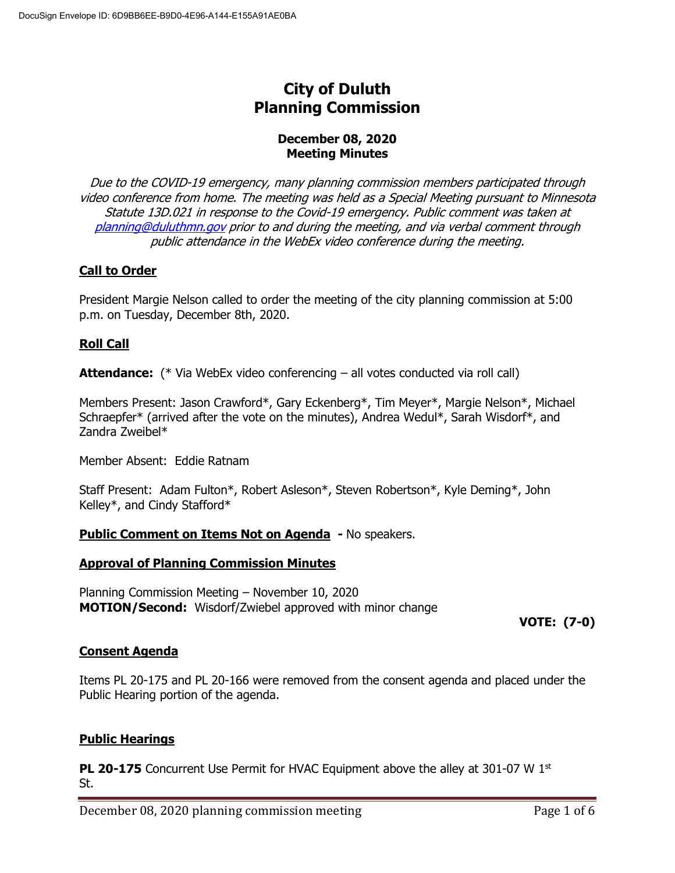# **City of Duluth Planning Commission**

### **December 08, 2020 Meeting Minutes**

Due to the COVID-19 emergency, many planning commission members participated through video conference from home. The meeting was held as a Special Meeting pursuant to Minnesota Statute 13D.021 in response to the Covid-19 emergency. Public comment was taken at [planning@duluthmn.gov](mailto:planning@duluthmn.gov) prior to and during the meeting, and via verbal comment through public attendance in the WebEx video conference during the meeting.

## **Call to Order**

President Margie Nelson called to order the meeting of the city planning commission at 5:00 p.m. on Tuesday, December 8th, 2020.

### **Roll Call**

**Attendance:** (\* Via WebEx video conferencing – all votes conducted via roll call)

Members Present: Jason Crawford\*, Gary Eckenberg\*, Tim Meyer\*, Margie Nelson\*, Michael Schraepfer\* (arrived after the vote on the minutes), Andrea Wedul\*, Sarah Wisdorf\*, and Zandra Zweibel\*

Member Absent: Eddie Ratnam

Staff Present: Adam Fulton\*, Robert Asleson\*, Steven Robertson\*, Kyle Deming\*, John Kelley\*, and Cindy Stafford\*

### **Public Comment on Items Not on Agenda -** No speakers.

### **Approval of Planning Commission Minutes**

Planning Commission Meeting – November 10, 2020 **MOTION/Second:** Wisdorf/Zwiebel approved with minor change

**VOTE: (7-0)**

### **Consent Agenda**

Items PL 20-175 and PL 20-166 were removed from the consent agenda and placed under the Public Hearing portion of the agenda.

### **Public Hearings**

**PL 20-175** Concurrent Use Permit for HVAC Equipment above the alley at 301-07 W 1st St.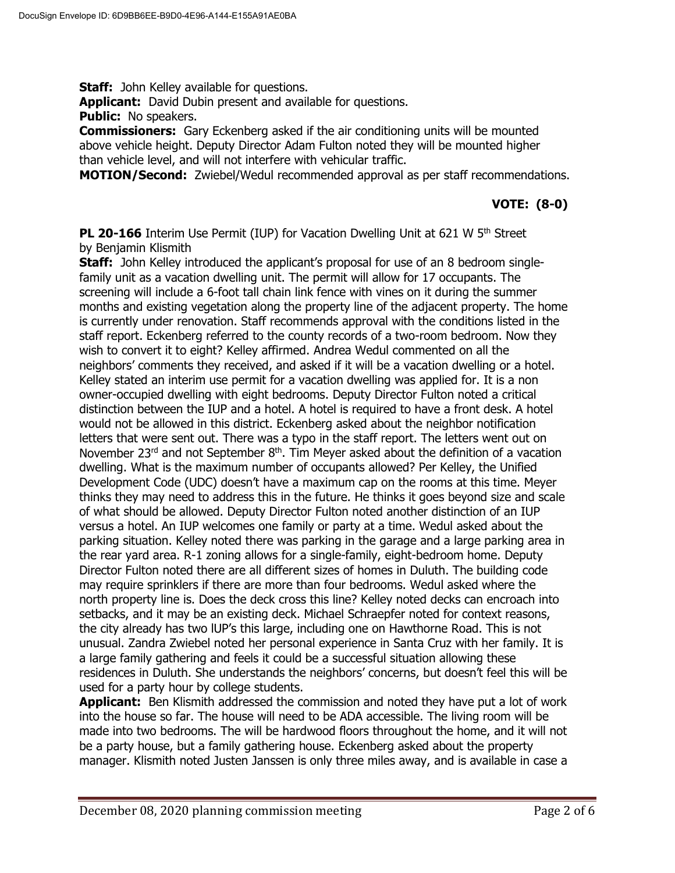**Staff:** John Kelley available for questions.

**Applicant:** David Dubin present and available for questions.

**Public:** No speakers.

**Commissioners:** Gary Eckenberg asked if the air conditioning units will be mounted above vehicle height. Deputy Director Adam Fulton noted they will be mounted higher than vehicle level, and will not interfere with vehicular traffic.

**MOTION/Second:** Zwiebel/Wedul recommended approval as per staff recommendations.

## **VOTE: (8-0)**

**PL 20-166** Interim Use Permit (IUP) for Vacation Dwelling Unit at 621 W 5<sup>th</sup> Street by Benjamin Klismith

**Staff:** John Kelley introduced the applicant's proposal for use of an 8 bedroom singlefamily unit as a vacation dwelling unit. The permit will allow for 17 occupants. The screening will include a 6-foot tall chain link fence with vines on it during the summer months and existing vegetation along the property line of the adjacent property. The home is currently under renovation. Staff recommends approval with the conditions listed in the staff report. Eckenberg referred to the county records of a two-room bedroom. Now they wish to convert it to eight? Kelley affirmed. Andrea Wedul commented on all the neighbors' comments they received, and asked if it will be a vacation dwelling or a hotel. Kelley stated an interim use permit for a vacation dwelling was applied for. It is a non owner-occupied dwelling with eight bedrooms. Deputy Director Fulton noted a critical distinction between the IUP and a hotel. A hotel is required to have a front desk. A hotel would not be allowed in this district. Eckenberg asked about the neighbor notification letters that were sent out. There was a typo in the staff report. The letters went out on November  $23^{rd}$  and not September  $8^{th}$ . Tim Meyer asked about the definition of a vacation dwelling. What is the maximum number of occupants allowed? Per Kelley, the Unified Development Code (UDC) doesn't have a maximum cap on the rooms at this time. Meyer thinks they may need to address this in the future. He thinks it goes beyond size and scale of what should be allowed. Deputy Director Fulton noted another distinction of an IUP versus a hotel. An IUP welcomes one family or party at a time. Wedul asked about the parking situation. Kelley noted there was parking in the garage and a large parking area in the rear yard area. R-1 zoning allows for a single-family, eight-bedroom home. Deputy Director Fulton noted there are all different sizes of homes in Duluth. The building code may require sprinklers if there are more than four bedrooms. Wedul asked where the north property line is. Does the deck cross this line? Kelley noted decks can encroach into setbacks, and it may be an existing deck. Michael Schraepfer noted for context reasons, the city already has two lUP's this large, including one on Hawthorne Road. This is not unusual. Zandra Zwiebel noted her personal experience in Santa Cruz with her family. It is a large family gathering and feels it could be a successful situation allowing these residences in Duluth. She understands the neighbors' concerns, but doesn't feel this will be used for a party hour by college students.

**Applicant:** Ben Klismith addressed the commission and noted they have put a lot of work into the house so far. The house will need to be ADA accessible. The living room will be made into two bedrooms. The will be hardwood floors throughout the home, and it will not be a party house, but a family gathering house. Eckenberg asked about the property manager. Klismith noted Justen Janssen is only three miles away, and is available in case a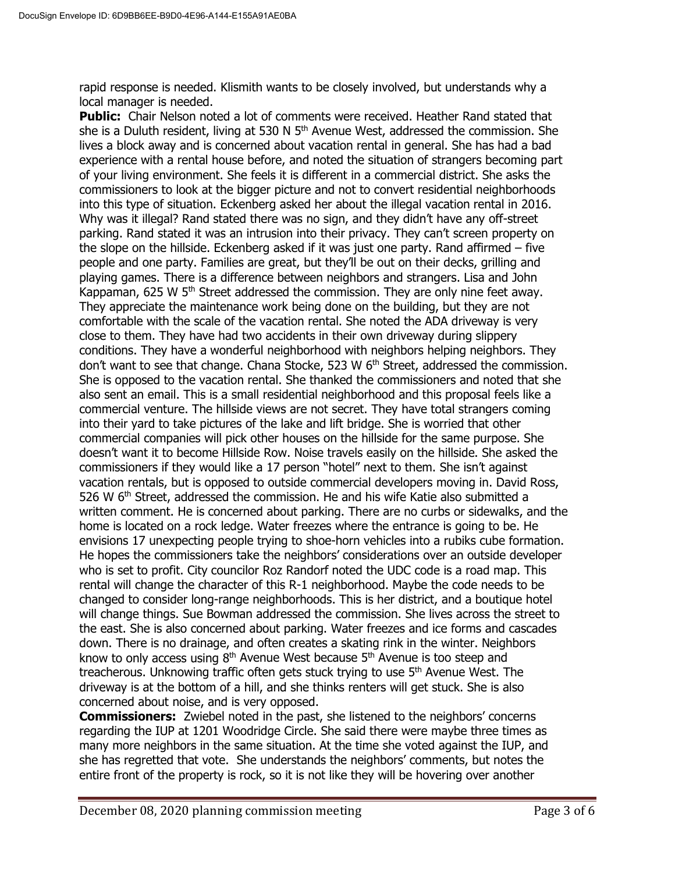rapid response is needed. Klismith wants to be closely involved, but understands why a local manager is needed.

**Public:** Chair Nelson noted a lot of comments were received. Heather Rand stated that she is a Duluth resident, living at 530 N  $5<sup>th</sup>$  Avenue West, addressed the commission. She lives a block away and is concerned about vacation rental in general. She has had a bad experience with a rental house before, and noted the situation of strangers becoming part of your living environment. She feels it is different in a commercial district. She asks the commissioners to look at the bigger picture and not to convert residential neighborhoods into this type of situation. Eckenberg asked her about the illegal vacation rental in 2016. Why was it illegal? Rand stated there was no sign, and they didn't have any off-street parking. Rand stated it was an intrusion into their privacy. They can't screen property on the slope on the hillside. Eckenberg asked if it was just one party. Rand affirmed – five people and one party. Families are great, but they'll be out on their decks, grilling and playing games. There is a difference between neighbors and strangers. Lisa and John Kappaman, 625 W 5<sup>th</sup> Street addressed the commission. They are only nine feet away. They appreciate the maintenance work being done on the building, but they are not comfortable with the scale of the vacation rental. She noted the ADA driveway is very close to them. They have had two accidents in their own driveway during slippery conditions. They have a wonderful neighborhood with neighbors helping neighbors. They don't want to see that change. Chana Stocke, 523 W  $6<sup>th</sup>$  Street, addressed the commission. She is opposed to the vacation rental. She thanked the commissioners and noted that she also sent an email. This is a small residential neighborhood and this proposal feels like a commercial venture. The hillside views are not secret. They have total strangers coming into their yard to take pictures of the lake and lift bridge. She is worried that other commercial companies will pick other houses on the hillside for the same purpose. She doesn't want it to become Hillside Row. Noise travels easily on the hillside. She asked the commissioners if they would like a 17 person "hotel" next to them. She isn't against vacation rentals, but is opposed to outside commercial developers moving in. David Ross, 526 W  $6<sup>th</sup>$  Street, addressed the commission. He and his wife Katie also submitted a written comment. He is concerned about parking. There are no curbs or sidewalks, and the home is located on a rock ledge. Water freezes where the entrance is going to be. He envisions 17 unexpecting people trying to shoe-horn vehicles into a rubiks cube formation. He hopes the commissioners take the neighbors' considerations over an outside developer who is set to profit. City councilor Roz Randorf noted the UDC code is a road map. This rental will change the character of this R-1 neighborhood. Maybe the code needs to be changed to consider long-range neighborhoods. This is her district, and a boutique hotel will change things. Sue Bowman addressed the commission. She lives across the street to the east. She is also concerned about parking. Water freezes and ice forms and cascades down. There is no drainage, and often creates a skating rink in the winter. Neighbors know to only access using  $8<sup>th</sup>$  Avenue West because  $5<sup>th</sup>$  Avenue is too steep and treacherous. Unknowing traffic often gets stuck trying to use  $5<sup>th</sup>$  Avenue West. The driveway is at the bottom of a hill, and she thinks renters will get stuck. She is also concerned about noise, and is very opposed.

**Commissioners:** Zwiebel noted in the past, she listened to the neighbors' concerns regarding the IUP at 1201 Woodridge Circle. She said there were maybe three times as many more neighbors in the same situation. At the time she voted against the IUP, and she has regretted that vote. She understands the neighbors' comments, but notes the entire front of the property is rock, so it is not like they will be hovering over another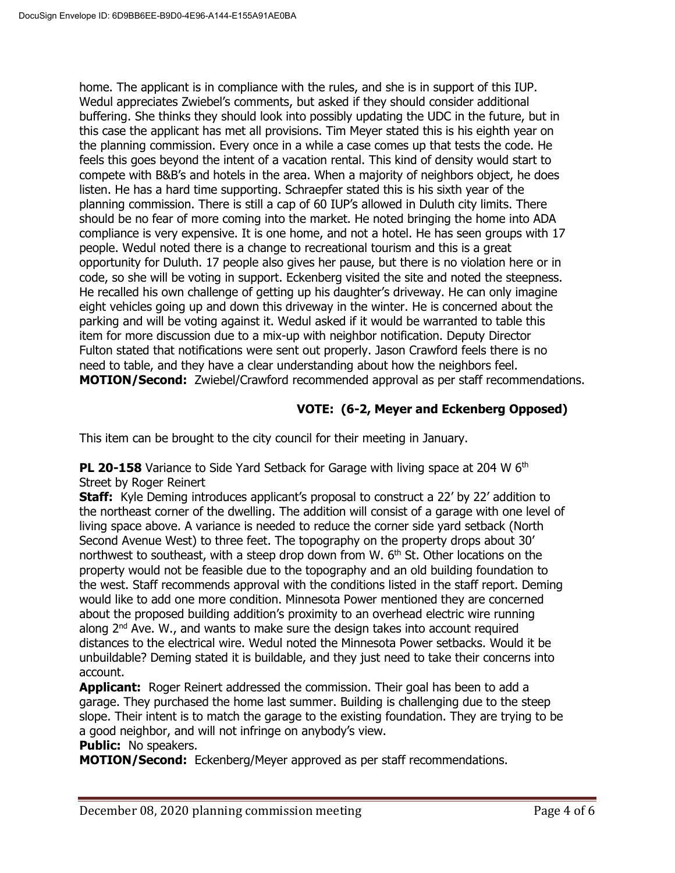home. The applicant is in compliance with the rules, and she is in support of this IUP. Wedul appreciates Zwiebel's comments, but asked if they should consider additional buffering. She thinks they should look into possibly updating the UDC in the future, but in this case the applicant has met all provisions. Tim Meyer stated this is his eighth year on the planning commission. Every once in a while a case comes up that tests the code. He feels this goes beyond the intent of a vacation rental. This kind of density would start to compete with B&B's and hotels in the area. When a majority of neighbors object, he does listen. He has a hard time supporting. Schraepfer stated this is his sixth year of the planning commission. There is still a cap of 60 IUP's allowed in Duluth city limits. There should be no fear of more coming into the market. He noted bringing the home into ADA compliance is very expensive. It is one home, and not a hotel. He has seen groups with 17 people. Wedul noted there is a change to recreational tourism and this is a great opportunity for Duluth. 17 people also gives her pause, but there is no violation here or in code, so she will be voting in support. Eckenberg visited the site and noted the steepness. He recalled his own challenge of getting up his daughter's driveway. He can only imagine eight vehicles going up and down this driveway in the winter. He is concerned about the parking and will be voting against it. Wedul asked if it would be warranted to table this item for more discussion due to a mix-up with neighbor notification. Deputy Director Fulton stated that notifications were sent out properly. Jason Crawford feels there is no need to table, and they have a clear understanding about how the neighbors feel. **MOTION/Second:** Zwiebel/Crawford recommended approval as per staff recommendations.

## **VOTE: (6-2, Meyer and Eckenberg Opposed)**

This item can be brought to the city council for their meeting in January.

**PL 20-158** Variance to Side Yard Setback for Garage with living space at 204 W 6<sup>th</sup> Street by Roger Reinert

**Staff:** Kyle Deming introduces applicant's proposal to construct a 22' by 22' addition to the northeast corner of the dwelling. The addition will consist of a garage with one level of living space above. A variance is needed to reduce the corner side yard setback (North Second Avenue West) to three feet. The topography on the property drops about 30' northwest to southeast, with a steep drop down from W.  $6<sup>th</sup>$  St. Other locations on the property would not be feasible due to the topography and an old building foundation to the west. Staff recommends approval with the conditions listed in the staff report. Deming would like to add one more condition. Minnesota Power mentioned they are concerned about the proposed building addition's proximity to an overhead electric wire running along 2<sup>nd</sup> Ave. W., and wants to make sure the design takes into account required distances to the electrical wire. Wedul noted the Minnesota Power setbacks. Would it be unbuildable? Deming stated it is buildable, and they just need to take their concerns into account.

**Applicant:** Roger Reinert addressed the commission. Their goal has been to add a garage. They purchased the home last summer. Building is challenging due to the steep slope. Their intent is to match the garage to the existing foundation. They are trying to be a good neighbor, and will not infringe on anybody's view.

### **Public:** No speakers.

**MOTION/Second:** Eckenberg/Meyer approved as per staff recommendations.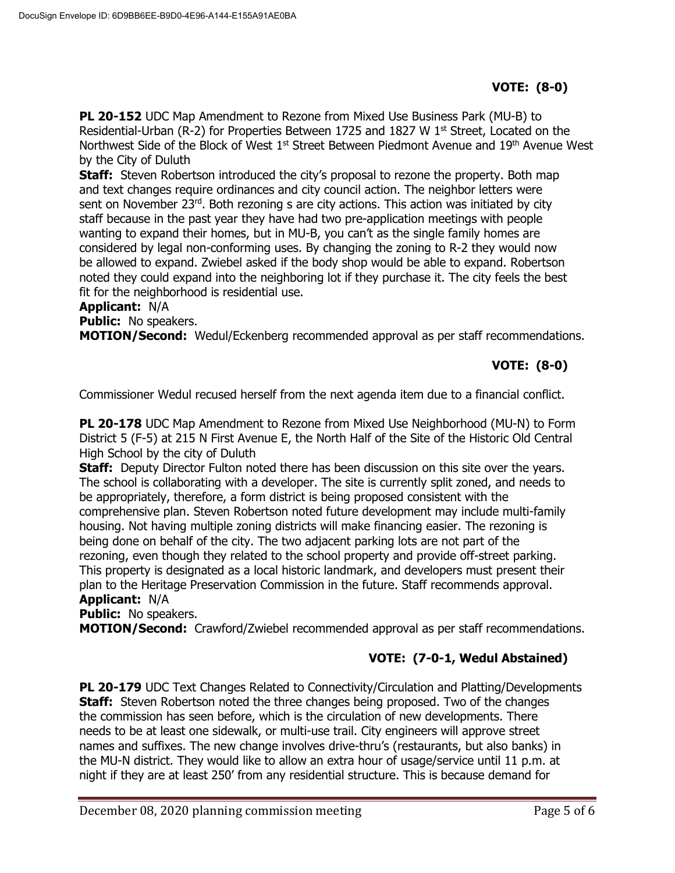**PL 20-152** UDC Map Amendment to Rezone from Mixed Use Business Park (MU-B) to Residential-Urban (R-2) for Properties Between 1725 and 1827 W 1<sup>st</sup> Street, Located on the Northwest Side of the Block of West 1<sup>st</sup> Street Between Piedmont Avenue and 19<sup>th</sup> Avenue West by the City of Duluth

**Staff:** Steven Robertson introduced the city's proposal to rezone the property. Both map and text changes require ordinances and city council action. The neighbor letters were sent on November 23rd. Both rezoning s are city actions. This action was initiated by city staff because in the past year they have had two pre-application meetings with people wanting to expand their homes, but in MU-B, you can't as the single family homes are considered by legal non-conforming uses. By changing the zoning to R-2 they would now be allowed to expand. Zwiebel asked if the body shop would be able to expand. Robertson noted they could expand into the neighboring lot if they purchase it. The city feels the best fit for the neighborhood is residential use.

### **Applicant:** N/A

**Public:** No speakers.

**MOTION/Second:** Wedul/Eckenberg recommended approval as per staff recommendations.

## **VOTE: (8-0)**

Commissioner Wedul recused herself from the next agenda item due to a financial conflict.

**PL 20-178** UDC Map Amendment to Rezone from Mixed Use Neighborhood (MU-N) to Form District 5 (F-5) at 215 N First Avenue E, the North Half of the Site of the Historic Old Central High School by the city of Duluth

**Staff:** Deputy Director Fulton noted there has been discussion on this site over the years. The school is collaborating with a developer. The site is currently split zoned, and needs to be appropriately, therefore, a form district is being proposed consistent with the comprehensive plan. Steven Robertson noted future development may include multi-family housing. Not having multiple zoning districts will make financing easier. The rezoning is being done on behalf of the city. The two adjacent parking lots are not part of the rezoning, even though they related to the school property and provide off-street parking. This property is designated as a local historic landmark, and developers must present their plan to the Heritage Preservation Commission in the future. Staff recommends approval. **Applicant:** N/A

**Public:** No speakers.

**MOTION/Second:** Crawford/Zwiebel recommended approval as per staff recommendations.

## **VOTE: (7-0-1, Wedul Abstained)**

**PL 20-179** UDC Text Changes Related to Connectivity/Circulation and Platting/Developments **Staff:** Steven Robertson noted the three changes being proposed. Two of the changes the commission has seen before, which is the circulation of new developments. There needs to be at least one sidewalk, or multi-use trail. City engineers will approve street names and suffixes. The new change involves drive-thru's (restaurants, but also banks) in the MU-N district. They would like to allow an extra hour of usage/service until 11 p.m. at night if they are at least 250' from any residential structure. This is because demand for